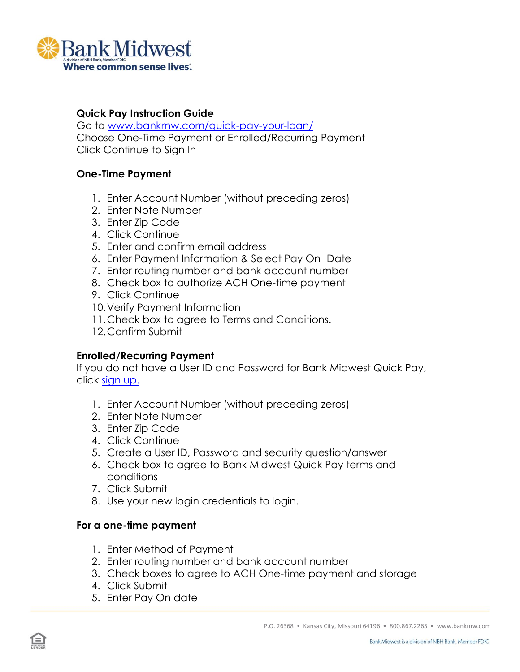

## **Quick Pay Instruction Guide**

Go to [www.bankmw.com/quick-pay-your-loan/](http://www.bankmw.com/quick-pay-your-loan/) Choose One-Time Payment or Enrolled/Recurring Payment Click Continue to Sign In

## **One-Time Payment**

- 1. Enter Account Number (without preceding zeros)
- 2. Enter Note Number
- 3. Enter Zip Code
- 4. Click Continue
- 5. Enter and confirm email address
- 6. Enter Payment Information & Select Pay On Date
- 7. Enter routing number and bank account number
- 8. Check box to authorize ACH One-time payment
- 9. Click Continue
- 10.Verify Payment Information
- 11.Check box to agree to Terms and Conditions.
- 12.Confirm Submit

# **Enrolled/Recurring Payment**

If you do not have a User ID and Password for Bank Midwest Quick Pay, click [sign up.](https://secure4.billerweb.com/nbh/inetSrv?sessionHandle=&client=714020800&type=SignonService&action=EnrollUser&unitCode=BMW)

- 1. Enter Account Number (without preceding zeros)
- 2. Enter Note Number
- 3. Enter Zip Code
- 4. Click Continue
- 5. Create a User ID, Password and security question/answer
- 6. Check box to agree to Bank Midwest Quick Pay terms and conditions
- 7. Click Submit
- 8. Use your new login credentials to login.

#### **For a one-time payment**

- 1. Enter Method of Payment
- 2. Enter routing number and bank account number
- 3. Check boxes to agree to ACH One-time payment and storage
- 4. Click Submit
- 5. Enter Pay On date

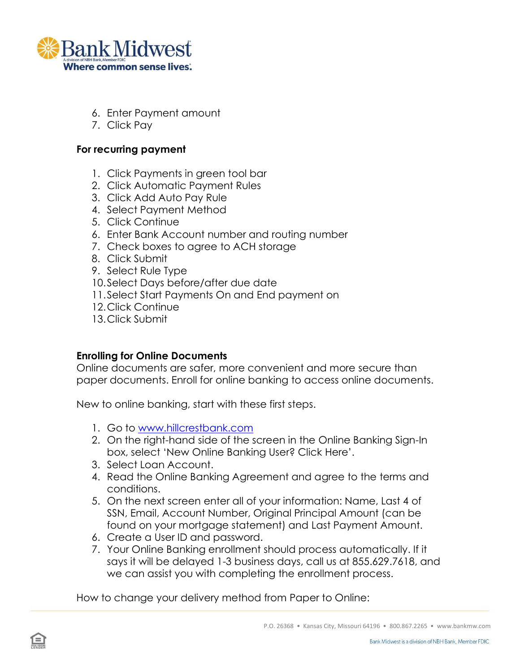

- 6. Enter Payment amount
- 7. Click Pay

### **For recurring payment**

- 1. Click Payments in green tool bar
- 2. Click Automatic Payment Rules
- 3. Click Add Auto Pay Rule
- 4. Select Payment Method
- 5. Click Continue
- 6. Enter Bank Account number and routing number
- 7. Check boxes to agree to ACH storage
- 8. Click Submit
- 9. Select Rule Type
- 10.Select Days before/after due date
- 11.Select Start Payments On and End payment on
- 12.Click Continue
- 13.Click Submit

# **Enrolling for Online Documents**

Online documents are safer, more convenient and more secure than paper documents. Enroll for online banking to access online documents.

New to online banking, start with these first steps.

- 1. Go to [www.hillcrestbank.com](http://www.hillcrestbank.com/)
- 2. On the right-hand side of the screen in the Online Banking Sign-In box, select 'New Online Banking User? Click Here'.
- 3. Select Loan Account.
- 4. Read the Online Banking Agreement and agree to the terms and conditions.
- 5. On the next screen enter all of your information: Name, Last 4 of SSN, Email, Account Number, Original Principal Amount (can be found on your mortgage statement) and Last Payment Amount.
- 6. Create a User ID and password.
- 7. Your Online Banking enrollment should process automatically. If it says it will be delayed 1-3 business days, call us at 855.629.7618, and we can assist you with completing the enrollment process.

How to change your delivery method from Paper to Online: